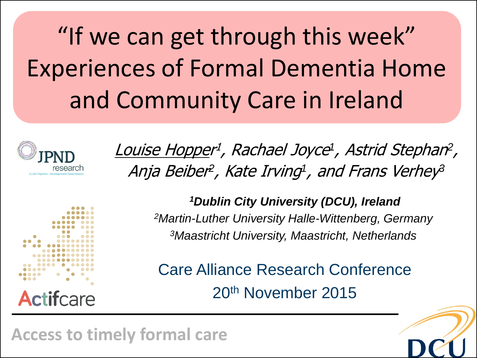"If we can get through this week" Experiences of Formal Dementia Home and Community Care in Ireland



Louise Hopper 1 , Rachael Joyce *1* , Astrid Stephan *2*  $\mathcal{L}$ Anja Beiber<sup>2</sup>, Kate Irving<sup>1</sup>, and Frans Verhey<sup>3</sup>



*<sup>1</sup>Dublin City University (DCU), Ireland <sup>2</sup>Martin-Luther University Halle-Wittenberg, Germany <sup>3</sup>Maastricht University, Maastricht, Netherlands*

Care Alliance Research Conference 20th November 2015



**Access to timely formal care**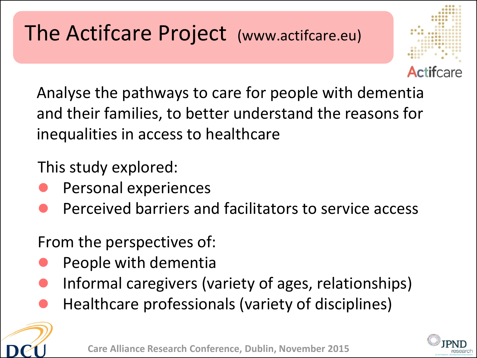Analyse the pathways to care for people with dementia and their families, to better understand the reasons for inequalities in access to healthcare

This study explored:

- Personal experiences
- Perceived barriers and facilitators to service access

From the perspectives of:

- People with dementia
- Informal caregivers (variety of ages, relationships)
- Healthcare professionals (variety of disciplines)



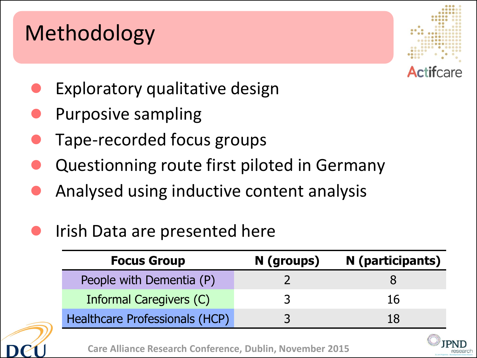## Methodology



- Exploratory qualitative design
- Purposive sampling
- Tape-recorded focus groups
- Questionning route first piloted in Germany
- Analysed using inductive content analysis
- Irish Data are presented here

| <b>Focus Group</b>                    | N (groups) | N (participants) |
|---------------------------------------|------------|------------------|
| People with Dementia (P)              |            |                  |
| Informal Caregivers (C)               |            | 16               |
| <b>Healthcare Professionals (HCP)</b> |            | 18               |

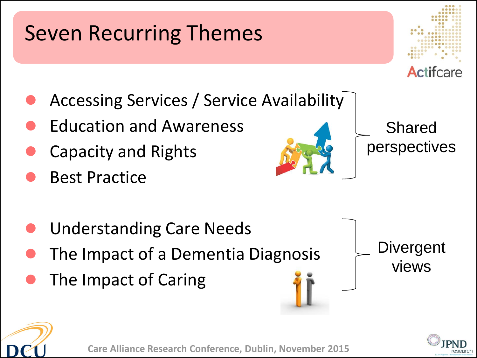# Seven Recurring Themes



- Accessing Services / Service Availability
- Education and Awareness
- Capacity and Rights
- Best Practice
- Understanding Care Needs
- The Impact of a Dementia Diagnosis
- The Impact of Caring



Shared perspectives

**Divergent** views



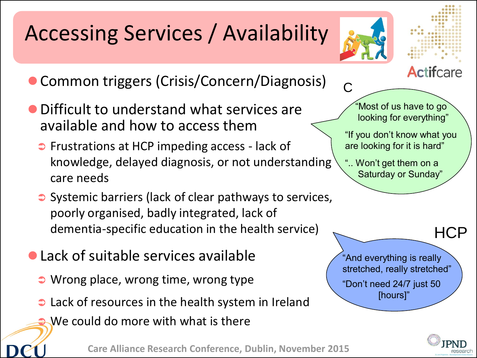# Accessing Services / Availability



C

Actifcare

- **Common triggers (Crisis/Concern/Diagnosis)**
- Difficult to understand what services are available and how to access them
	- Frustrations at HCP impeding access lack of knowledge, delayed diagnosis, or not understanding care needs
	- Systemic barriers (lack of clear pathways to services, poorly organised, badly integrated, lack of dementia-specific education in the health service)
- Lack of suitable services available
	- **Wrong place, wrong time, wrong type**
	- **C** Lack of resources in the health system in Ireland
		- We could do more with what is there

**Care Alliance Research Conference, Dublin, November 2015**

 "Most of us have to go looking for everything"

"If you don't know what you are looking for it is hard"

".. Won't get them on a Saturday or Sunday"

"And everything is really stretched, really stretched" "Don't need 24/7 just 50 [hours]"



HCP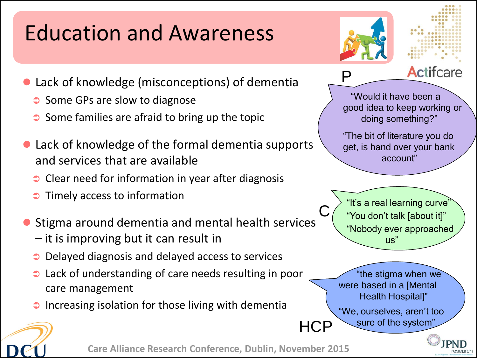# Education and Awareness

- Lack of knowledge (misconceptions) of dementia
	- $\supset$  Some GPs are slow to diagnose
	- $\supset$  Some families are afraid to bring up the topic
- Lack of knowledge of the formal dementia supports and services that are available
	- $\bullet$  Clear need for information in year after diagnosis
	- Timely access to information
- Stigma around dementia and mental health services
	- it is improving but it can result in
	- Delayed diagnosis and delayed access to services
	- **C** Lack of understanding of care needs resulting in poor care management
	- Increasing isolation for those living with dementia



C

**HCP** 



**Actifcare** 

 "Would it have been a good idea to keep working or doing something?"

"The bit of literature you do get, is hand over your bank account"

"It's a real learning curve" "You don't talk [about it]" "Nobody ever approached  $\overline{\mathsf{HS}}$ 

 "the stigma when we were based in a [Mental Health Hospital]"

"We, ourselves, aren't too sure of the system"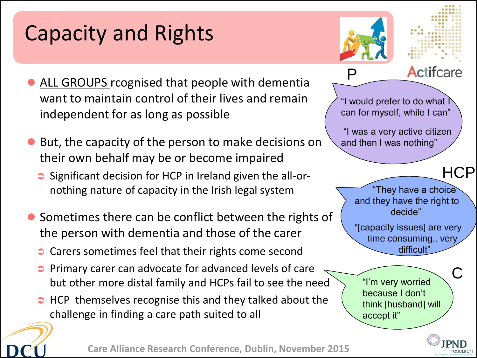## Capacity and Rights

P

"I would prefer to do what I can for myself, while I can"

"I was a very active citizen

"They have a choice

and they have the right to decide"

"[capacity issues] are very time consuming.. very difficult"

and then I was nothing"



**Actifcare** 

- ALL GROUPS rcognised that people with dementia want to maintain control of their lives and remain independent for as long as possible
- But, the capacity of the person to make decisions on their own behalf may be or become impaired
	- $\supset$  Significant decision for HCP in Ireland given the all-ornothing nature of capacity in the Irish legal system
- Sometimes there can be conflict between the rights of the person with dementia and those of the carer
	- Carers sometimes feel that their rights come second
	- Primary carer can advocate for advanced levels of care but other more distal family and HCPs fail to see the need
	- $\Rightarrow$  HCP themselves recognise this and they talked about the challenge in finding a care path suited to all

"I'm very worried because I don't think [husband] will accept it"

C

**HCP**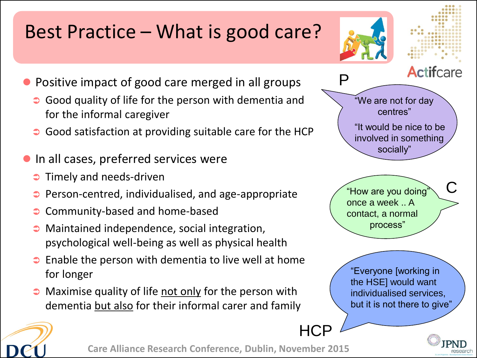#### Best Practice – What is good care?





- Positive impact of good care merged in all groups
	- Good quality of life for the person with dementia and for the informal caregiver
	- Good satisfaction at providing suitable care for the HCP
- In all cases, preferred services were
	- Timely and needs-driven
	- Person-centred, individualised, and age-appropriate
	- Community-based and home-based
	- Maintained independence, social integration, psychological well-being as well as physical health
	- $\bullet$  Enable the person with dementia to live well at home for longer
	- $\bullet$  Maximise quality of life not only for the person with dementia but also for their informal carer and family



"How are you doing" once a week .. A contact, a normal process"

**HCP** 

"Everyone [working in the HSE] would want individualised services, but it is not there to give"



**Care Alliance Research Conference, Dublin, November 2015**



C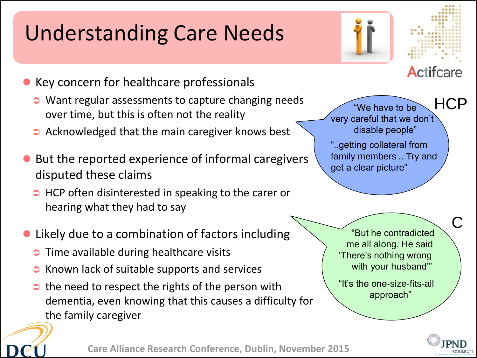# Understanding Care Needs





- Key concern for healthcare professionals
	- Want regular assessments to capture changing needs over time, but this is often not the reality
	- $\bullet$  Acknowledged that the main caregiver knows best
- But the reported experience of informal caregivers disputed these claims
	- $\Rightarrow$  HCP often disinterested in speaking to the carer or hearing what they had to say
- Likely due to a combination of factors including
	- $\supset$  Time available during healthcare visits
	- $\bullet$  Known lack of suitable supports and services
	- $\bullet$  the need to respect the rights of the person with dementia, even knowing that this causes a difficulty for the family caregiver

**HCP**  "We have to be very careful that we don't disable people"

"..getting collateral from family members .. Try and get a clear picture"

 "But he contradicted me all along. He said 'There's nothing wrong with your husband"

"It's the one-size-fits-all approach"



C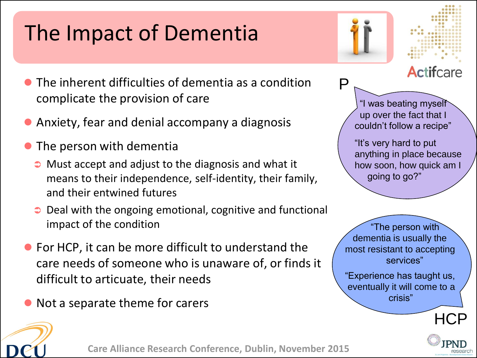# The Impact of Dementia

- The inherent difficulties of dementia as a condition complicate the provision of care
- Anxiety, fear and denial accompany a diagnosis
- The person with dementia
	- Must accept and adjust to the diagnosis and what it means to their independence, self-identity, their family, and their entwined futures
	- Deal with the ongoing emotional, cognitive and functional impact of the condition
- For HCP, it can be more difficult to understand the care needs of someone who is unaware of, or finds it difficult to articuate, their needs
- Not a separate theme for carers

 "I was beating myself up over the fact that I couldn't follow a recipe" "It's very hard to put anything in place because how soon, how quick am I going to go?"

P

 "The person with dementia is usually the most resistant to accepting services"

"Experience has taught us, eventually it will come to a crisis"



Actifcare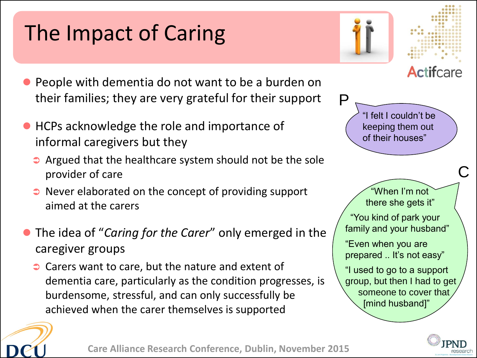# The Impact of Caring

- People with dementia do not want to be a burden on their families; they are very grateful for their support
- HCPs acknowledge the role and importance of informal caregivers but they
	- $\bullet$  Argued that the healthcare system should not be the sole provider of care
	- Never elaborated on the concept of providing support aimed at the carers
- The idea of "*Caring for the Carer*" only emerged in the caregiver groups
	- Carers want to care, but the nature and extent of dementia care, particularly as the condition progresses, is burdensome, stressful, and can only successfully be achieved when the carer themselves is supported



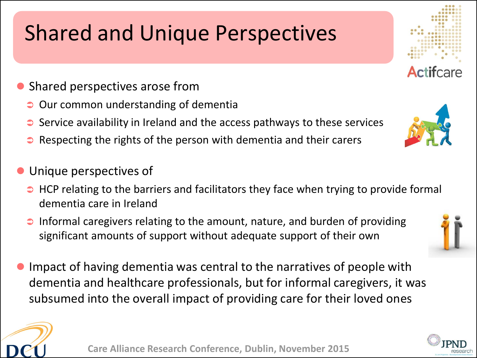# Shared and Unique Perspectives

- Shared perspectives arose from
	- Our common understanding of dementia
	- Service availability in Ireland and the access pathways to these services
	- Respecting the rights of the person with dementia and their carers
- Unique perspectives of
	- $\Rightarrow$  HCP relating to the barriers and facilitators they face when trying to provide formal dementia care in Ireland
	- Informal caregivers relating to the amount, nature, and burden of providing significant amounts of support without adequate support of their own
- Impact of having dementia was central to the narratives of people with dementia and healthcare professionals, but for informal caregivers, it was subsumed into the overall impact of providing care for their loved ones





**Actifcare** 





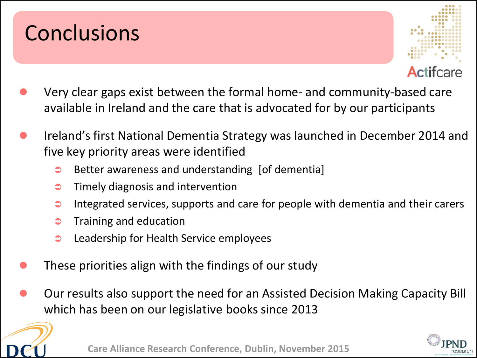## **Conclusions**



- Very clear gaps exist between the formal home- and community-based care available in Ireland and the care that is advocated for by our participants
- Ireland's first National Dementia Strategy was launched in December 2014 and five key priority areas were identified
	- $\Rightarrow$  Better awareness and understanding [of dementia]
	- $\bullet$  Timely diagnosis and intervention
	- Integrated services, supports and care for people with dementia and their carers
	- $\bullet$  Training and education
	- **Canadiership for Health Service employees**
- These priorities align with the findings of our study
- Our results also support the need for an Assisted Decision Making Capacity Bill which has been on our legislative books since 2013



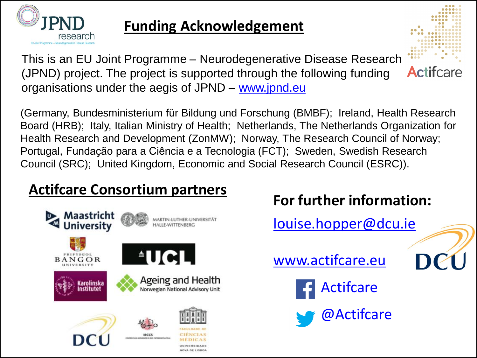

#### **Funding Acknowledgement**

This is an EU Joint Programme – Neurodegenerative Disease Research (JPND) project. The project is supported through the following funding organisations under the aegis of JPND – [www.jpnd.eu](http://www.jpnd.eu)

(Germany, Bundesministerium für Bildung und Forschung (BMBF); Ireland, Health Research Board (HRB); Italy, Italian Ministry of Health; Netherlands, The Netherlands Organization for Health Research and Development (ZonMW); Norway, The Research Council of Norway; Portugal, Fundação para a Ciência e a Tecnologia (FCT); Sweden, Swedish Research Council (SRC); United Kingdom, Economic and Social Research Council (ESRC)).

#### **Actifcare Consortium partners**



#### **For further information:**

**Actifcare** 

[louise.hopper@dcu.ie](mailto:louise.hopper@dcu.ie)

[www.actifcare.eu](http://www.actifcare.eu)

Actifcare